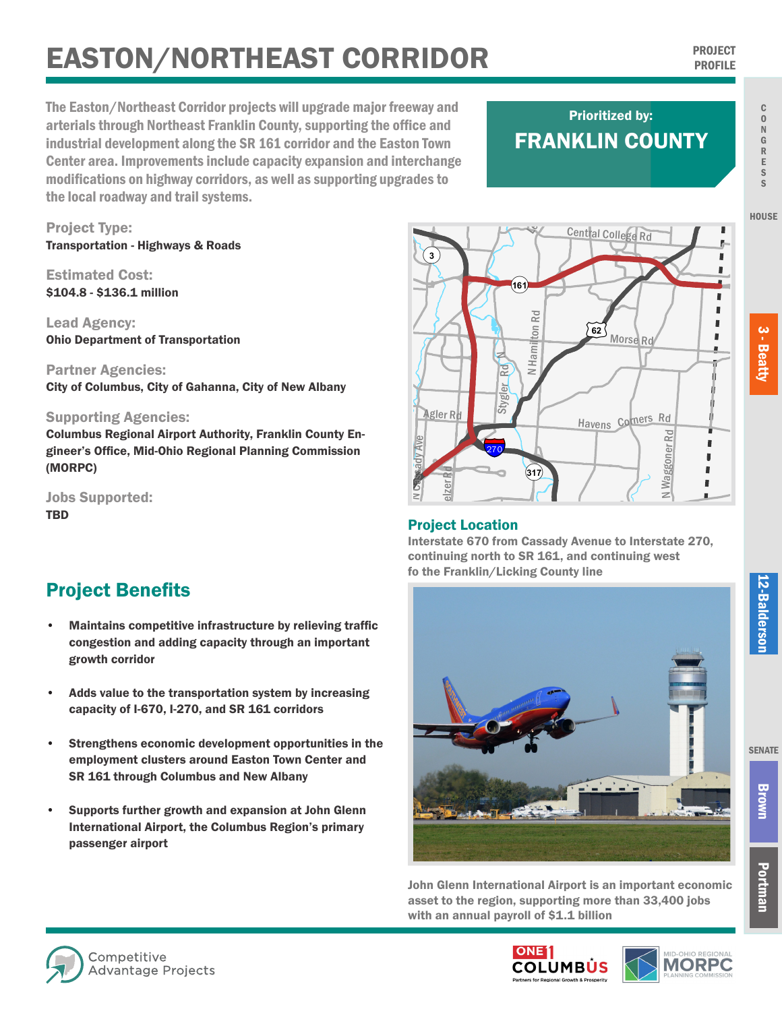# **PROJECT CORRIDOR PROJECT PROJECT SURFAINT CORRIDOR**

The Easton/Northeast Corridor projects will upgrade major freeway and arterials through Northeast Franklin County, supporting the office and industrial development along the SR 161 corridor and the Easton Town Center area. Improvements include capacity expansion and interchange modifications on highway corridors, as well as supporting upgrades to the local roadway and trail systems.

## FRANKLIN COUNTY Prioritized by:

Project Type: Transportation - Highways & Roads

Estimated Cost: \$104.8 - \$136.1 million

Lead Agency: Ohio Department of Transportation

Partner Agencies: City of Columbus, City of Gahanna, City of New Albany

#### Supporting Agencies:

Columbus Regional Airport Authority, Franklin County Engineer's Office, Mid-Ohio Regional Planning Commission (MORPC)

Jobs Supported: TBD

### Project Benefits

- Maintains competitive infrastructure by relieving traffic congestion and adding capacity through an important growth corridor
- Adds value to the transportation system by increasing capacity of I-670, I-270, and SR 161 corridors
- Strengthens economic development opportunities in the employment clusters around Easton Town Center and SR 161 through Columbus and New Albany
- Supports further growth and expansion at John Glenn International Airport, the Columbus Region's primary passenger airport



#### Project Location

Interstate 670 from Cassady Avenue to Interstate 270, continuing north to SR 161, and continuing west fo the Franklin/Licking County line



John Glenn International Airport is an important economic asset to the region, supporting more than 33,400 jobs with an annual payroll of \$1.1 billion







Portman

C O N G R

3 - Beatty